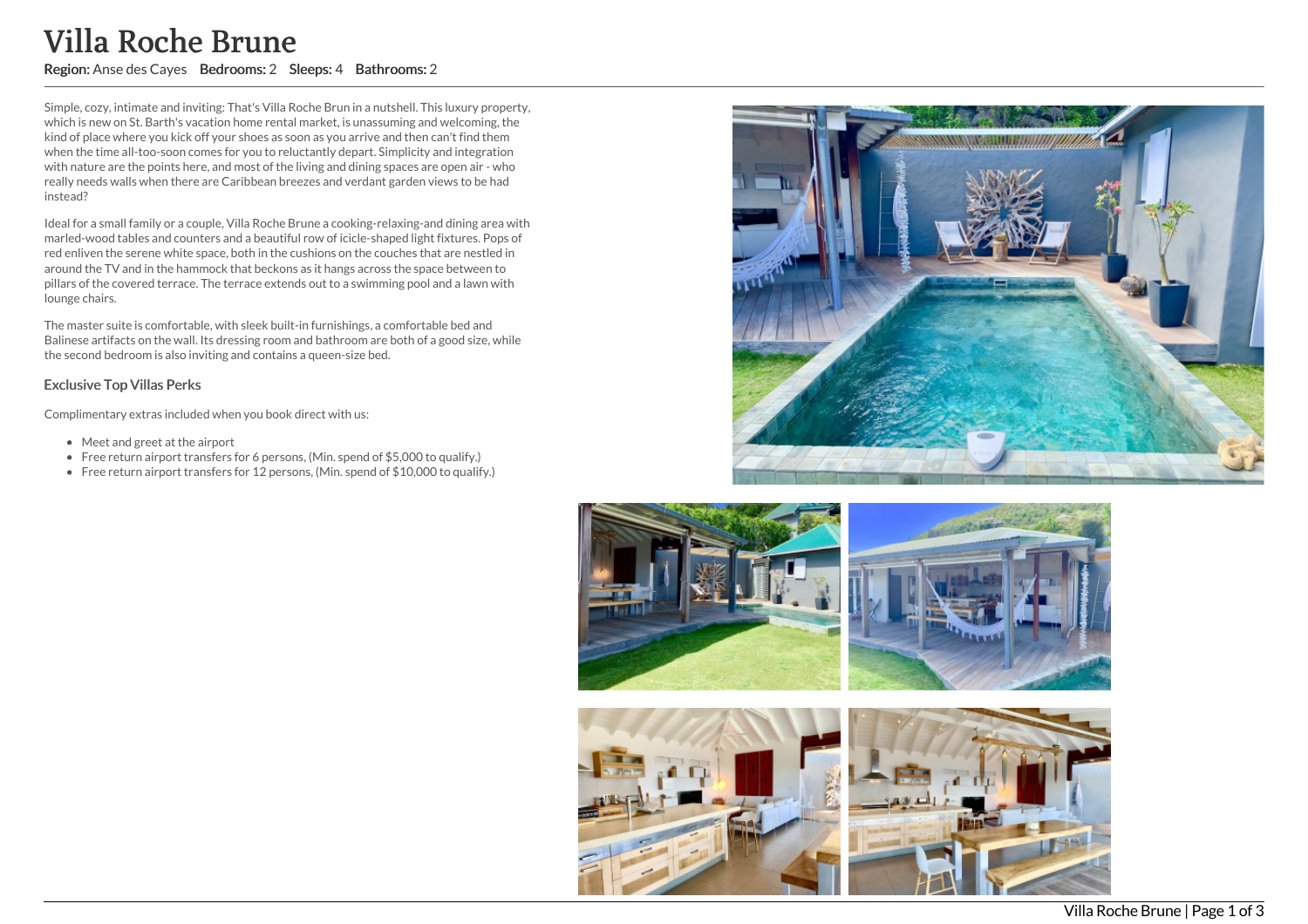## Villa Roche Brune

## Region: Anse des Cayes Bedrooms: 2 Sleeps: 4 Bathrooms: 2

Simple, cozy, intimate and inviting: That's Villa Roche Brun in a nutshell. This luxury property, which is new on St. Barth's vacation home rental market, is unassuming and welcoming, the kind of place where you kick off your shoes as soon as you arrive and then can't find them when the time all-too-soon comes for you to reluctantly depart. Simplicity and integration with nature are the points here, and most of the living and dining spaces are open air - who really needs walls when there are Caribbean breezes and verdant garden views to be had instead?

Ideal for a small family or a couple, Villa Roche Brune a cooking-relaxing-and dining area with marled-wood tables and counters and a beautiful row of icicle-shaped light fixtures. Pops of red enliven the serene white space, both in the cushions on the couches that are nestled in around the TV and in the hammock that beckons as it hangs across the space between to pillars of the covered terrace. The terrace extends out to a swimming pool and a lawn with lounge chairs.

The master suite is comfortable, with sleek built-in furnishings, a comfortable bed and Balinese artifacts on the wall. Its dressing room and bathroom are both of a good size, while the second bedroom is also inviting and contains a queen-size bed.

## Exclusive Top Villas Perks

Complimentary extras included when you book direct with us:

- Meet and greet at the airport
- Free return airport transfers for 6 persons, (Min. spend of \$5,000 to qualify.)
- Free return airport transfers for 12 persons, (Min. spend of \$10,000 to qualify.)



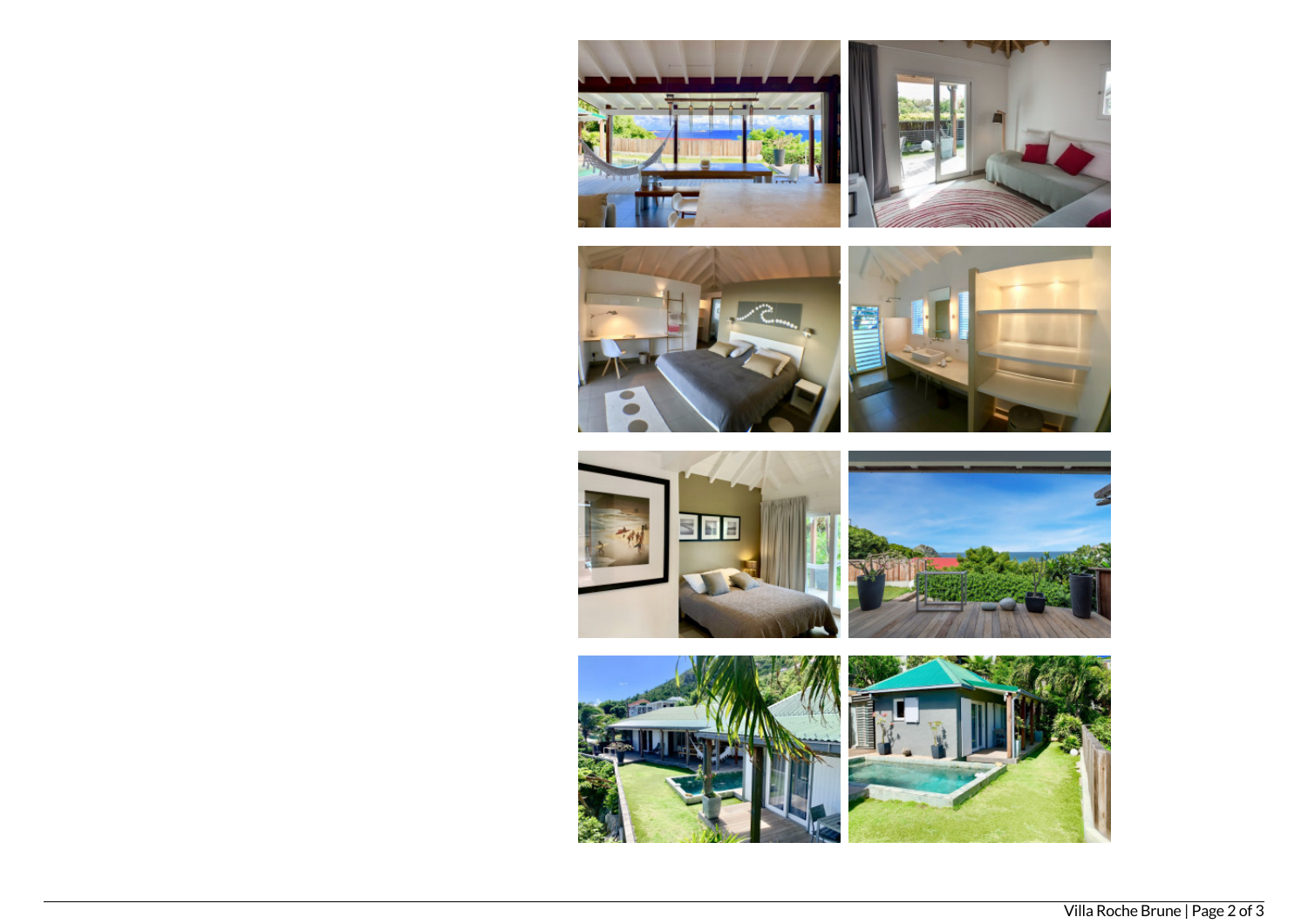